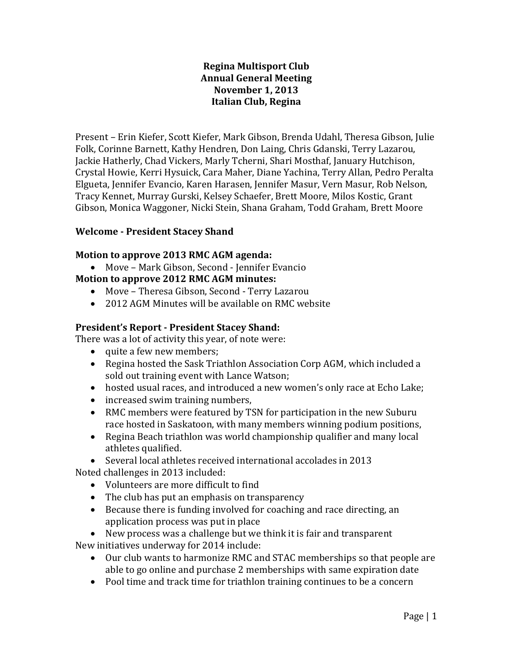#### **Regina Multisport Club Annual General Meeting November 1, 2013 Italian Club, Regina**

Present – Erin Kiefer, Scott Kiefer, Mark Gibson, Brenda Udahl, Theresa Gibson, Julie Folk, Corinne Barnett, Kathy Hendren, Don Laing, Chris Gdanski, Terry Lazarou, Jackie Hatherly, Chad Vickers, Marly Tcherni, Shari Mosthaf, January Hutchison, Crystal Howie, Kerri Hysuick, Cara Maher, Diane Yachina, Terry Allan, Pedro Peralta Elgueta, Jennifer Evancio, Karen Harasen, Jennifer Masur, Vern Masur, Rob Nelson, Tracy Kennet, Murray Gurski, Kelsey Schaefer, Brett Moore, Milos Kostic, Grant Gibson, Monica Waggoner, Nicki Stein, Shana Graham, Todd Graham, Brett Moore

#### **Welcome - President Stacey Shand**

#### **Motion to approve 2013 RMC AGM agenda:**

- Move Mark Gibson, Second Jennifer Evancio **Motion to approve 2012 RMC AGM minutes:**
	- Move Theresa Gibson, Second Terry Lazarou
	- 2012 AGM Minutes will be available on RMC website

#### **President's Report - President Stacey Shand:**

There was a lot of activity this year, of note were:

- quite a few new members;
- Regina hosted the Sask Triathlon Association Corp AGM, which included a sold out training event with Lance Watson;
- hosted usual races, and introduced a new women's only race at Echo Lake;
- increased swim training numbers,
- RMC members were featured by TSN for participation in the new Suburu race hosted in Saskatoon, with many members winning podium positions,
- Regina Beach triathlon was world championship qualifier and many local athletes qualified.

 Several local athletes received international accolades in 2013 Noted challenges in 2013 included:

- Volunteers are more difficult to find
- The club has put an emphasis on transparency
- Because there is funding involved for coaching and race directing, an application process was put in place
- New process was a challenge but we think it is fair and transparent New initiatives underway for 2014 include:
	- Our club wants to harmonize RMC and STAC memberships so that people are able to go online and purchase 2 memberships with same expiration date
	- Pool time and track time for triathlon training continues to be a concern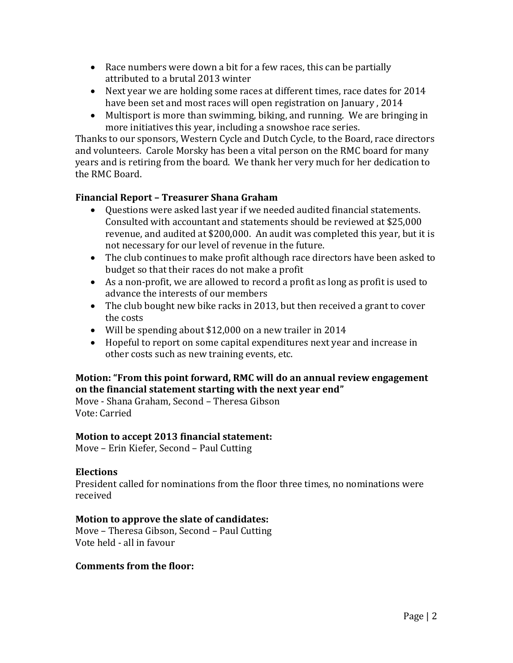- Race numbers were down a bit for a few races, this can be partially attributed to a brutal 2013 winter
- Next year we are holding some races at different times, race dates for 2014 have been set and most races will open registration on January , 2014
- Multisport is more than swimming, biking, and running. We are bringing in more initiatives this year, including a snowshoe race series.

Thanks to our sponsors, Western Cycle and Dutch Cycle, to the Board, race directors and volunteers. Carole Morsky has been a vital person on the RMC board for many years and is retiring from the board. We thank her very much for her dedication to the RMC Board.

# **Financial Report – Treasurer Shana Graham**

- Questions were asked last year if we needed audited financial statements. Consulted with accountant and statements should be reviewed at \$25,000 revenue, and audited at \$200,000. An audit was completed this year, but it is not necessary for our level of revenue in the future.
- The club continues to make profit although race directors have been asked to budget so that their races do not make a profit
- As a non-profit, we are allowed to record a profit as long as profit is used to advance the interests of our members
- The club bought new bike racks in 2013, but then received a grant to cover the costs
- Will be spending about \$12,000 on a new trailer in 2014
- Hopeful to report on some capital expenditures next year and increase in other costs such as new training events, etc.

# **Motion: "From this point forward, RMC will do an annual review engagement on the financial statement starting with the next year end"**

Move - Shana Graham, Second – Theresa Gibson Vote: Carried

# **Motion to accept 2013 financial statement:**

Move – Erin Kiefer, Second – Paul Cutting

# **Elections**

President called for nominations from the floor three times, no nominations were received

# **Motion to approve the slate of candidates:**

Move – Theresa Gibson, Second – Paul Cutting Vote held - all in favour

#### **Comments from the floor:**